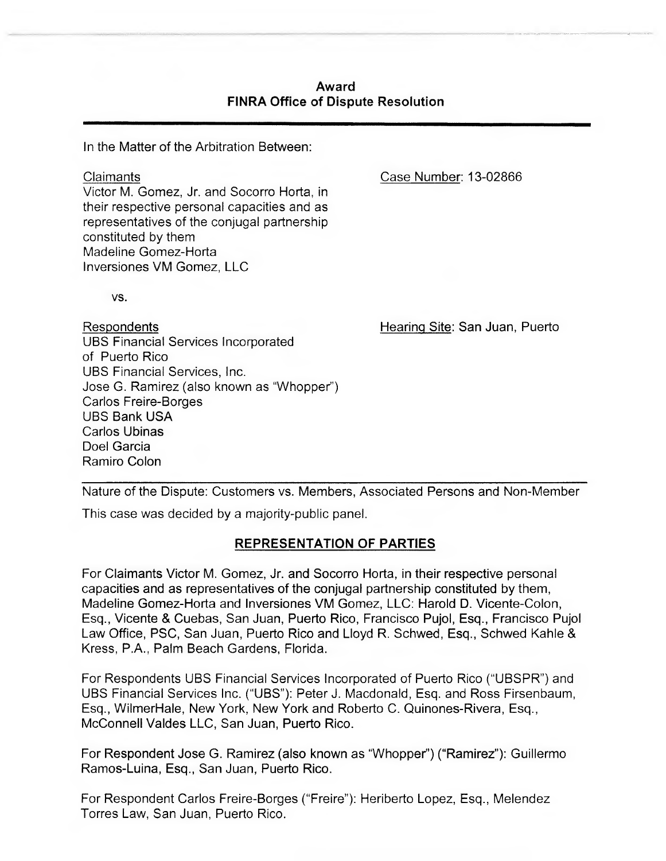## **Award FINRA Office of Dispute Resolution**

In the Matter of the Arbitration Between:

Claimants Victor M. Gomez, Jr. and Socorro Horta, in their respective personal capacities and as representatives of the conjugal partnership constituted by them Madeline Gomez-Horta Inversiones VM Gomez, LLC

Case Number: 13-02866

VS.

Hearing Site: San Juan, Puerto

Respondents UBS Financial Services Incorporated of Puerto Rico UBS Financial Services, Inc. Jose G. Ramirez (also known as "Whopper) Carlos Freire-Borges UBS Bank USA Carlos Ubinas Doel Garcia Ramiro Colon

Nature of the Dispute: Customers vs. Members, Associated Persons and Non-Member

This case was decided by a majority-public panel.

# **REPRESENTATION OF PARTIES**

For Claimants Victor M. Gomez, Jr. and Socorro Horta, in their respective personal capacities and as representatives of the conjugal partnership constituted by them, Madeline Gomez-Horta and Inversiones VM Gomez, LLC: Harold **D.** Vicente-Colon, Esq., Vicente & Cuebas, San Juan, Puerto Rico, Francisco Pujol, Esq., Francisco Pujol Law Office, PSC, San Juan, Puerto Rico and Lloyd R. Schwed, Esq., Schwed Kahle & Kress, P.A., Palm Beach Gardens, Florida.

For Respondents UBS Financial Services Incorporated of Puerto Rico ("UBSPR") and UBS Financial Services Inc. ("UBS"): Peter J. Macdonald, Esq. and Ross Firsenbaum, Esq., WilmerHale, New York, New York and Roberto C. Quinones-Rivera, Esq., McConnell Valdes LLC, San Juan, Puerto Rico.

For Respondent Jose G. Ramirez (also known as "Whopper") ("Ramirez"): Guillermo Ramos-Luina, Esq., San Juan, Puerto Rico.

For Respondent Carlos Freire-Borges ("Freire"): Heriberto Lopez, Esq., Melendez Torres Law, San Juan, Puerto Rico.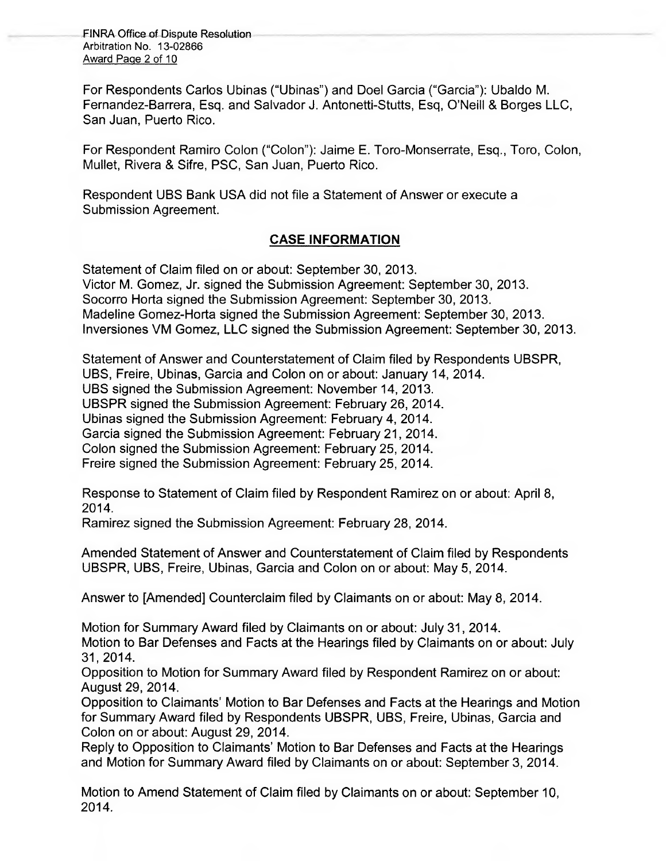FINRA Office of Dispute Resolution Arbitration No. 13-02866 Award Paoe 2 of 10

For Respondents Carlos Ubinas ("Ubinas") and Doel Garcia ("Garcia"): Ubaldo M. Fernandez-Barrera, Esq. and Salvador J. Antonetti-Stutts, Esq, O'Neill & Borges LLC, San Juan, Puerto Rico.

For Respondent Ramiro Colon ("Colon"): Jaime E. Toro-Monserrate, Esq., Toro, Colon, Mullet, Rivera & Sifre, PSC, San Juan, Puerto Rico.

Respondent UBS Bank USA did not file a Statement of Answer or execute a Submission Agreement.

# **CASE INFORMATION**

Statement of Claim filed on or about: September 30, 2013. Victor M. Gomez, Jr. signed the Submission Agreement: September 30, 2013. Socorro Horta signed the Submission Agreement: September 30, 2013. Madeline Gomez-Horta signed the Submission Agreement: September 30, 2013. lnversiones VM Gomez, LLC signed the Submission Agreement: September 30, 2013.

Statement of Answer and Counterstatement of Claim filed by Respondents UBSPR, UBS, Freire, Ubinas, Garcia and Colon on or about: January 14, 2014. UBS signed the Submission Agreement: November 14, 2013. UBSPR signed the Submission Agreement: February 26, 2014. Ubinas signed the Submission Agreement: February 4, 2014. Garcia signed the Submission Agreement: February 21, 2014. Colon signed the Submission Agreement: February 25, 2014. Freire signed the Submission Agreement: February 25, 2014.

Response to Statement of Claim filed by Respondent Ramirez on or about: April 8, 2014.

Ramirez signed the Submission Agreement: February 28, 2014.

Amended Statement of Answer and Counterstatement of Claim filed by Respondents UBSPR, UBS, Freire, Ubinas, Garcia and Colon on or about: May 5, 2014.

Answer to [Amended] Counterclaim filed by Claimants on or about: May 8, 2014.

Motion for Summary Award filed by Claimants on or about: July 31, 2014. Motion to Bar Defenses and Facts at the Hearings filed by Claimants on or about: July 31, 2014.

Opposition to Motion for Summary Award filed by Respondent Ramirez on or about: August 29, 2014.

Opposition to Claimants' Motion to Bar Defenses and Facts at the Hearings and Motion for Summary Award filed by Respondents UBSPR, UBS, Freire, Ubinas, Garcia and Colon on or about: August 29, 2014.

Reply to Opposition to Claimants' Motion to Bar Defenses and Facts at the Hearings and Motion for Summary Award filed by Claimants on or about: September 3, 2014.

Motion to Amend Statement of Claim filed by Claimants on or about: September 10, 2014.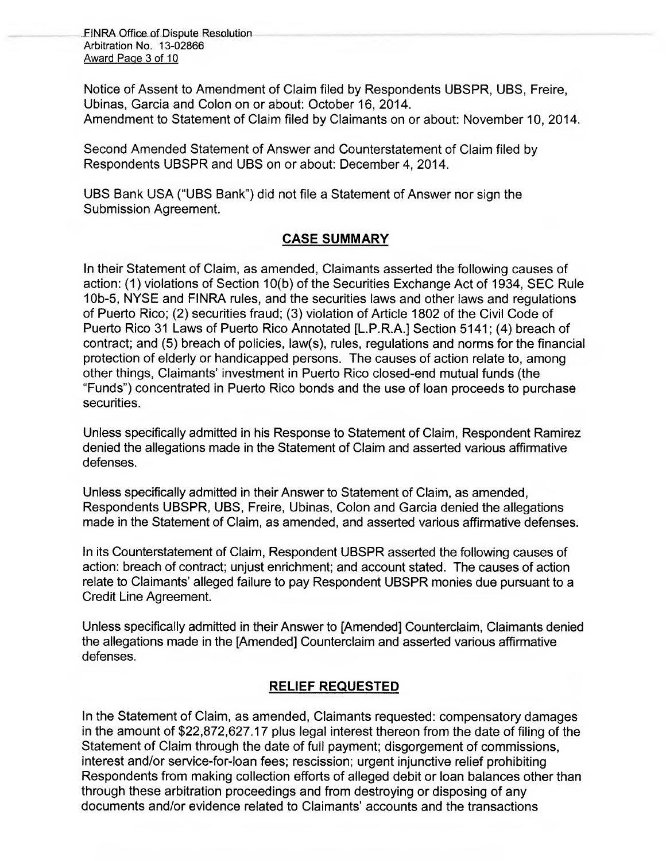\_ FINRA Office\_of Dispute Resolution Arbitration No. 13-02866 Award Page 3 of 10

Notice of Assent to Amendment of Claim filed by Respondents UBSPR, UBS, Freire, Ubinas, Garcia and Colon on or about: October 16, 2014. Amendment to Statement of Claim filed by Claimants on or about: November 10, 2014.

Second Amended Statement of Answer and Counterstatement of Claim filed by Respondents UBSPR and UBS on or about: December 4, 2014.

UBS Bank USA ("UBS Bank") did not file a Statement of Answer nor sign the Submission Agreement.

# **CASE SUMMARY**

In their Statement of Claim, as amended, Claimants asserted the following causes of action: (1) violations of Section 10(b) of the Securities Exchange Act of 1934, SEC Rule 10b-5, NYSE and FINRA rules, and the securities laws and other laws and regulations of Puerto Rico; (2) securities fraud; (3) violation of Article 1802 of the Civil Code of Puerto Rico 31 Laws of Puerto Rico Annotated [L.P.R.A.] Section 5141; (4) breach of contract; and (5) breach of policies, law(s), rules, regulations and norms for the financial protection of elderly or handicapped persons. The causes of action relate to, among other things, Claimants' investment in Puerto Rico closed-end mutual funds (the "Funde) concentrated in Puerto Rico bonds and the use of loan proceeds to purchase securities.

Unless specifically admitted in his Response to Statement of Claim, Respondent Ramirez denied the allegations made in the Statement of Claim and asserted various affirmative defenses.

Unless specifically admitted in their Answer to Statement of Claim, as amended, Respondents UBSPR, UBS, Freire, Ubinas, Colon and Garcia denied the allegations made in the Statement of Claim, as amended, and asserted various affirmative defenses.

In its Counterstatement of Claim, Respondent UBSPR asserted the following causes of action: breach of contract; unjust enrichment; and account stated. The causes of action relate to Claimants' alleged failure to pay Respondent UBSPR monies due pursuant to a Credit Line Agreement.

Unless specifically admitted in their Answer to [Amended] Counterclaim, Claimants denied the allegations made in the [Amended] Counterclaim and asserted various affirmative defenses.

# **RELIEF REQUESTED**

In the Statement of Claim, as amended, Claimants requested: compensatory damages in the amount of \$22,872,627.17 plus legal interest thereon from the date of filing of the Statement of Claim through the date of full payment; disgorgement of commissions, interest and/or service-for-loan fees; rescission; urgent injunctive relief prohibiting Respondents from making collection efforts of alleged debit or loan balances other than through these arbitration proceedings and from destroying or disposing of any documents and/or evidence related to Claimants' accounts and the transactions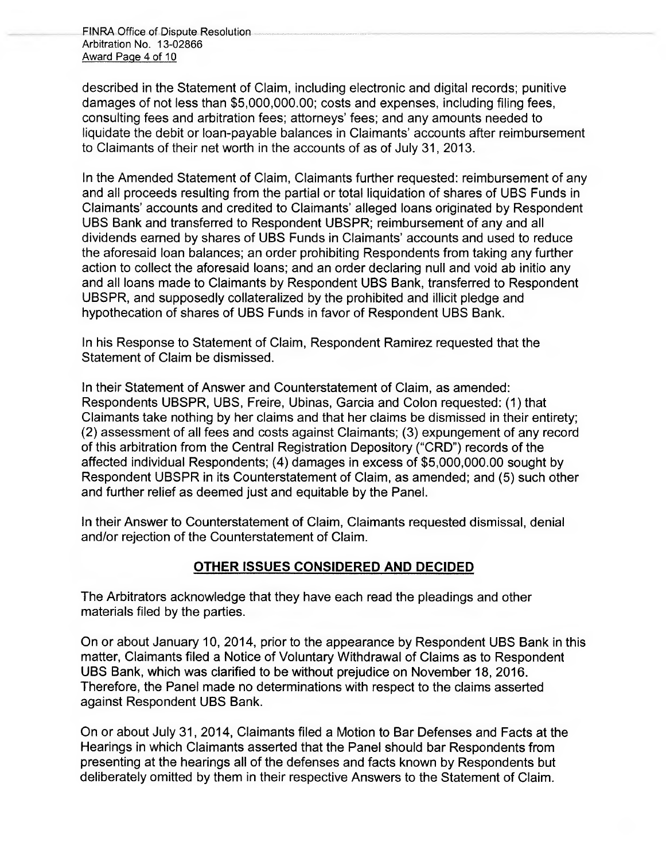FINRA Office of Dispute Resolution Arbitration No. 13-02866 Award Page 4 of 10

described in the Statement of Claim, including electronic and digital records; punitive damages of not less than \$5,000,000.00; costs and expenses, including filing fees, consulting fees and arbitration fees; attorneys' fees; and any amounts needed to liquidate the debit or loan-payable balances in Claimants' accounts after reimbursement to Claimants of their net worth in the accounts of as of July 31, 2013.

In the Amended Statement of Claim, Claimants further requested: reimbursement of any and all proceeds resulting from the partial or total liquidation of shares of UBS Funds in Claimants' accounts and credited to Claimants' alleged loans originated by Respondent UBS Bank and transferred to Respondent UBSPR; reimbursement of any and all dividends eamed by shares of UBS Funds in Claimants' accounts and used to reduce the aforesaid loan balances; an order prohibiting Respondents from taking any further action to collect the aforesaid loans; and an order declaring null and void ab initio any and all loans made to Claimants by Respondent UBS Bank, transferred to Respondent UBSPR, and supposedly collateralized by the prohibited and illicit pledge and hypothecation of shares of UBS Funds in favor of Respondent UBS Bank.

In his Response to Statement of Claim, Respondent Ramirez requested that the Statement of Claim be dismissed.

In their Statement of Answer and Counterstatement of Claim, as amended: Respondents UBSPR, UBS, Freire, Ubinas, Garcia and Colon requested: (1) that Claimants take nothing by her claims and that her claims be dismissed in their entirety; (2) assessment of all fees and costs against Claimants; (3) expungement of any record of this arbitration from the Central Registration Depository ("CRD") records of the affected individual Respondents; (4) damages in excess of \$5,000,000.00 sought by Respondent UBSPR in its Counterstatement of Claim, as amended; and (5) such other and further relief as deemed just and equitable by the Panel.

In their Answer to Counterstatement of Claim, Claimants requested dismissal, denial and/or rejection of the Counterstatement of Claim.

# **OTHER ISSUES CONSIDERED AND DECIDED**

The Arbitrators acknowledge that they have each read the pleadings and other materials filed by the parties.

On or about January 10, 2014, prior to the appearance by Respondent UBS Bank in this matter, Claimants filed a Notice of Voluntary Withdrawal of Claims as to Respondent UBS Bank, which was clarified to be without prejudice on November 18, 2016. Therefore, the Panel made no determinations with respect to the claims asserted against Respondent UBS Bank.

On or about July 31, 2014, Claimants filed a Motion to Bar Defenses and Facts at the Hearings in which Claimants asserted that the Panel should bar Respondents from presenting at the hearings all of the defenses and facts known by Respondents but deliberately omitted by them in their respective Answers to the Statement of Claim.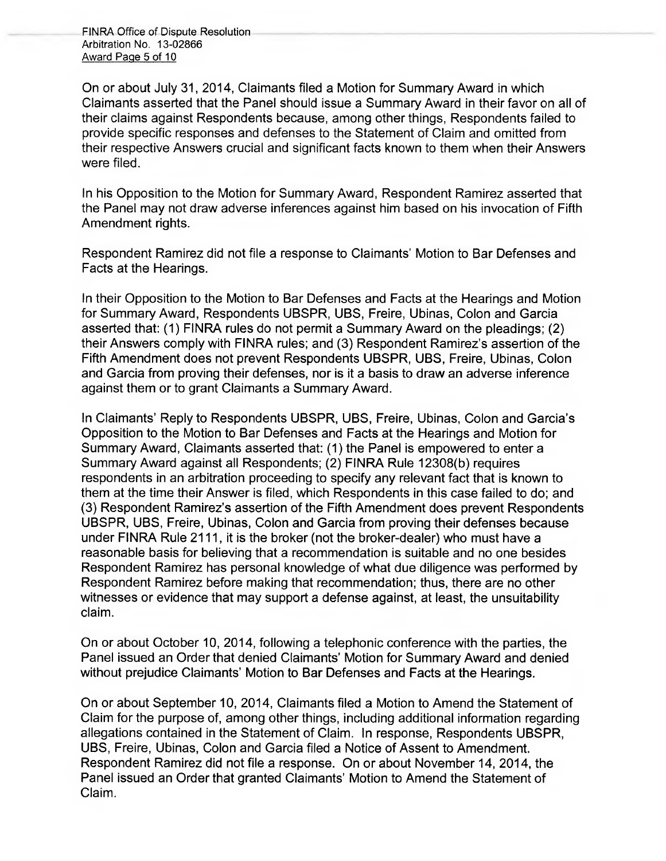FINRA Office of Dispute Resolution Arbitration No. 13-02866 Award Page 5 of 10

On or about July 31, 2014, Claimants filed a Motion for Summary Award in which Claimants asserted that the Panel should issue a Summary Award in their favor on all of their claims against Respondents because, among other things, Respondents failed to provide specific responses and defenses to the Statement of Claim and omitted from their respective Answers crucial and significant facts known to them when their Answers were filed.

In his Opposition to the Motion for Summary Award, Respondent Ramirez asserted that the Panel may not draw adverse inferences against him based on his invocation of Fifth Amendment rights.

Respondent Ramirez did not file a response to Claimants Motion to Bar Defenses and Facts at the Hearings.

In their Opposition to the Motion to Bar Defenses and Facts at the Hearings and Motion for Summary Award, Respondents UBSPR, UBS, Freire, Ubinas, Colon and Garcia asserted that: (1) FINRA rules do not permit a Summary Award on the pleadings; (2) their Answers comply with FINRA rules; and (3) Respondent Ramirez's assertion of the Fifth Amendment does not prevent Respondents UBSPR, UBS, Freire, Ubinas, Colon and Garcia from proving their defenses, nor is it a basis to draw an adverse inference against them or to grant Claimants a Summary Award.

In Claimants' Reply to Respondents UBSPR, UBS, Freire, Ubinas, Colon and Garcia's Opposition to the Motion to Bar Defenses and Facts at the Hearings and Motion for Summary Award, Claimants asserted that: (1) the Panel is empowered to enter a Summary Award against all Respondents; (2) FINRA Rule 12308(b) requires respondents in an arbitration proceeding to specify any relevant fact that is known to them at the time their Answer is filed, which Respondents in this case failed to do; and (3) Respondent Ramirez's assertion of the Fifth Amendment does prevent Respondents UBSPR, UBS, Freire, Ubinas, Colon and Garcia from proving their defenses because under FINRA Rule 2111, it is the broker (not the broker-dealer) who must have a reasonable basis for believing that a recommendation is suitable and no one besides Respondent Ramirez has personal knowledge of what due diligence was performed by Respondent Ramirez before making that recommendation; thus, there are no other witnesses or evidence that may support a defense against, at least, the unsuitability claim.

On or about October 10, 2014, following a telephonic conference with the parties, the Panel issued an Order that denied Claimants' Motion for Summary Award and denied without prejudice Claimants' Motion to Bar Defenses and Facts at the Hearings.

On or about September 10, 2014, Claimants filed a Motion to Amend the Statement of Claim for the purpose of, among other things, including additional information regarding allegations contained in the Statement of Claim. In response, Respondents UBSPR, UBS, Freire, Ubinas, Colon and Garcia filed a Notice of Assent to Amendment. Respondent Ramirez did not file a response. On or about November 14, 2014, the Panel issued an Order that granted Claimants' Motion to Amend the Statement of Claim.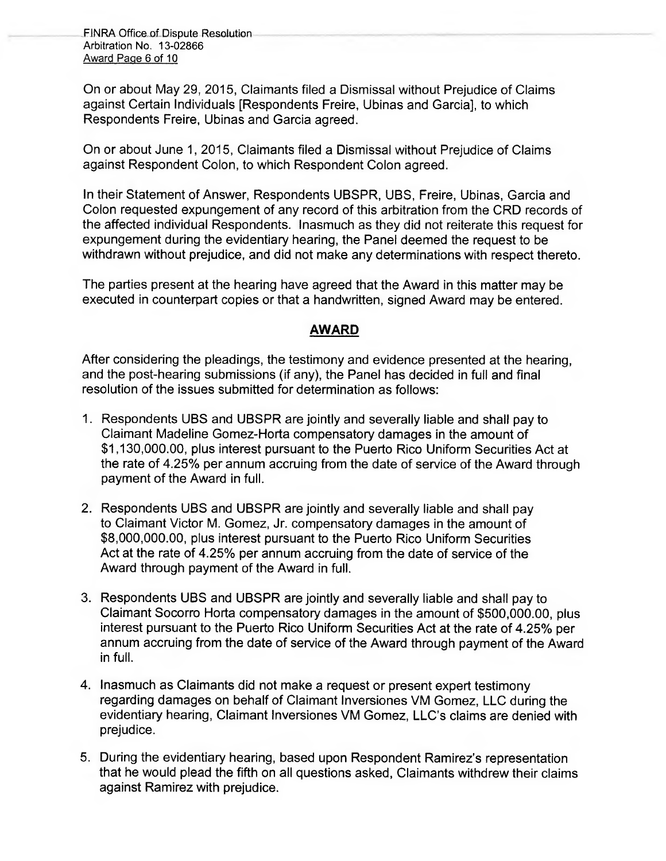FINRA Office of Dispute Resolution Arbitration No. 13-02866 Award Page 6 of 10

On or about May 29, 2015, Claimants filed a Dismissal without Prejudice of Claims against Certain Individuals [Respondents Freire, Ubinas and Garcia], to which Respondents Freire, Ubinas and Garcia agreed.

On or about June 1, 2015, Claimants filed a Dismissal without Prejudice of Claims against Respondent Colon, to which Respondent Colon agreed.

in their Statement of Answer, Respondents UBSPR, UBS, Freire, Ubinas, Garcia and Colon requested expungement of any record of this arbitration from the CRD records of the affected individual Respondents. Inasmuch as they did not reiterate this request for expungement during the evidentiary hearing, the Panel deemed the request to be withdrawn without prejudice, and did not make any determinations with respect thereto.

The parties present at the hearing have agreed that the Award in this matter may be executed in counterpart copies or that a handwritten, signed Award may be entered.

## **AWARD**

After considering the pleadings, the testimony and evidence presented at the hearing, and the post-hearing submissions (if any), the Panel has decided in full and final resolution of the issues submitted for determination as follows:

- 1. Respondents UBS and UBSPR are jointly and severally liable and shall pay to Claimant Madeline Gomez-Horta compensatory damages in the amount of \$1,130,000.00, plus interest pursuant to the Puerto Rico Uniform Securities Act at the rate of 4.25% per annum accruing from the date of service of the Award through payment of the Award in full.
- 2. Respondents UBS and UBSPR are jointly and severally liable and shall pay to Claimant Victor M. Gomez, Jr. compensatory damages in the amount of \$8,000,000.00, plus interest pursuant to the Puerto Rico Uniform Securities Act at the rate of 4.25% per annum accruing from the date of service of the Award through payment of the Award in full.
- 3. Respondents UBS and UBSPR are jointly and severally liable and shall pay to Claimant Socorro Horta compensatory damages in the amount of \$500,000.00, plus interest pursuant to the Puerto Rico Uniform Securities Act at the rate of 4.25% per annum accruing from the date of service of the Award through payment of the Award in full.
- 4. Inasmuch as Claimants did not make a request or present expert testimony regarding damages on behalf of Claimant Inversiones VM Gomez, LLC during the evidentiary hearing, Claimant Inversiones VM Gomez, LLC's claims are denied with prejudice.
- 5. During the evidentiary hearing, based upon Respondent Ramirez's representation that he would plead the fifth on all questions asked, Claimants withdrew their claims against Ramirez with prejudice.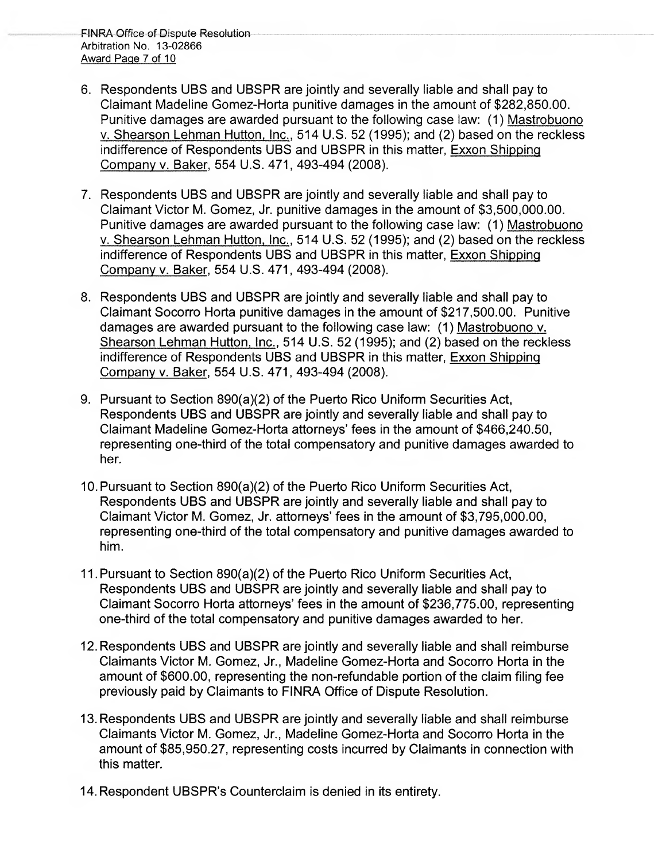- 6. Respondents UBS and UBSPR are jointly and severally liable and shall pay to Claimant Madeline Gomez-Horta punitive damages in the amount of \$282,850.00. Punitive damages are awarded pursuant to the following case law: (1) Mastrobuono v. Shearson Lehman Hutton, Inc., 514 U.S. 52 (1995); and (2) based on the reckless indifference of Respondents UBS and UBSPR in this matter, Exxon Shipping Company v. Baker, 554 U.S. 471, 493-494 (2008).
- 7. Respondents UBS and UBSPR are jointly and severally liable and shall pay to Claimant Victor M. Gomez, Jr. punitive damages in the amount of \$3,500,000.00. Punitive damages are awarded pursuant to the following case law: (1) Mastrobuono v. Shearson Lehman Hutton, Inc., 514 U.S. 52 (1995); and (2) based on the reckless indifference of Respondents UBS and UBSPR in this matter, Exxon Shipping Company v. Baker, 554 U.S. 471, 493-494 (2008).
- 8. Respondents UBS and UBSPR are jointly and severally liable and shall pay to Claimant Socorro Horta punitive damages in the amount of \$217,500.00. Punitive damages are awarded pursuant to the following case law: (1) Mastrobuono v. Shearson Lehman Hutton, Inc., 514 U.S. 52 (1995); and (2) based on the reckless indifference of Respondents UBS and UBSPR in this matter, Exxon Shipping Company v. Baker, 554 U.S. 471, 493-494 (2008).
- 9. Pursuant to Section 890(a)(2) of the Puerto Rico Uniform Securities Act, Respondents UBS and UBSPR are jointly and severally liable and shall pay to Claimant Madeline Gomez-Horta attorneys' fees in the amount of \$466,240.50, representing one-third of the total compensatory and punitive damages awarded to her.
- 10. Pursuant to Section 890(a)(2) of the Puerto Rico Uniform Securities Act, Respondents UBS and UBSPR are jointly and severally liable and shall pay to Claimant Victor M. Gomez, Jr. attorneys' fees in the amount of \$3,795,000.00, representing one-third of the total compensatory and punitive damages awarded to him.
- 11. Pursuant to Section 890(a)(2) of the Puerto Rico Uniform Securities Act, Respondents UBS and UBSPR are jointly and severally liable and shall pay to Claimant Socorro Horta attorneys' fees in the amount of \$236,775.00, representing one-third of the total compensatory and punitive damages awarded to her.
- 12. Respondents UBS and UBSPR are jointly and severally liable and shall reimburse Claimants Victor M. Gomez, Jr., Madeline Gomez-Horta and Socorro Horta in the amount of \$600.00, representing the non-refundable portion of the claim filing fee previously paid by Claimants to FINRA Office of Dispute Resolution.
- 13. Respondents UBS and UBSPR are jointly and severally liable and shall reimburse Claimants Victor M. Gomez, Jr., Madeline Gomez-Horta and Socorro Horta in the amount of \$85,950.27, representing costs incurred by Claimants in connection with this matter.
- 14. Respondent UBSPR's Counterclaim is denied in its entirety.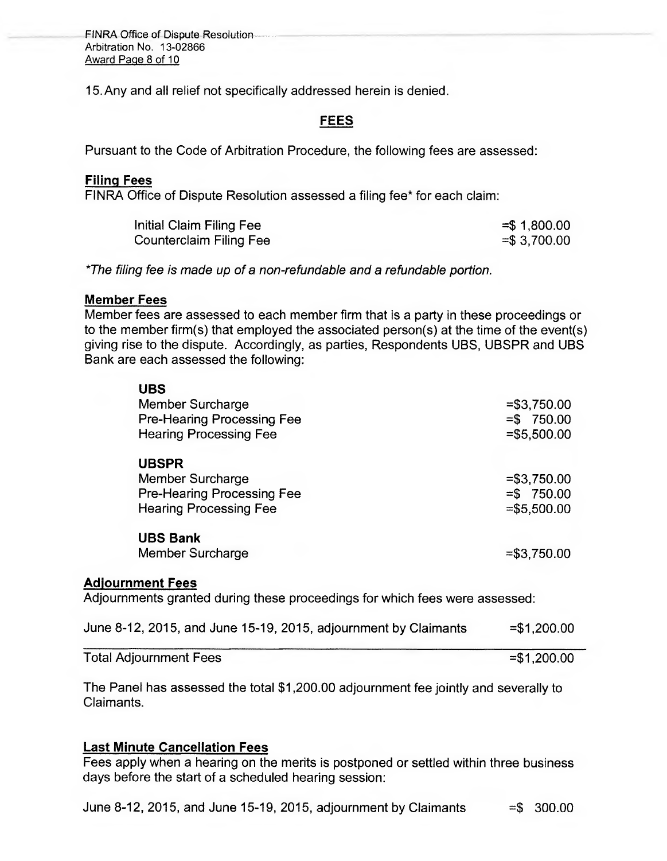FINRA Office of Dispute Resolution Arbitration No. 13-02866 Award Page 8 of 10

15.Any and all relief not specifically addressed herein is denied.

# **FEES**

Pursuant to the Code of Arbitration Procedure, the following fees are assessed:

### **Filing Fees**

FINRA Office of Dispute Resolution assessed a filing fee\* for each claim:

| Initial Claim Filing Fee | $=$ \$1,800.00  |
|--------------------------|-----------------|
| Counterclaim Filing Fee  | $=$ \$ 3,700.00 |

*\*The filing fee is made up of a non-refundable and a refundable portion.* 

#### **Member Fees**

Member fees are assessed to each member firm that is a party in these proceedings or to the member firm(s) that employed the associated person(s) at the time of the event(s) giving rise to the dispute. Accordingly, as parties, Respondents UBS, UBSPR and UBS Bank are each assessed the following:

| <b>UBS</b>                        |               |
|-----------------------------------|---------------|
| Member Surcharge                  | $= $3,750.00$ |
| Pre-Hearing Processing Fee        | $= $750.00$   |
| <b>Hearing Processing Fee</b>     | $= $5,500.00$ |
| <b>UBSPR</b>                      |               |
| Member Surcharge                  | $= $3,750.00$ |
| <b>Pre-Hearing Processing Fee</b> | $= $750.00$   |
| <b>Hearing Processing Fee</b>     | $= $5,500.00$ |
| <b>UBS Bank</b>                   |               |
| Member Surcharge                  | $= $3,750.00$ |
| <b>Adjournment Fees</b>           |               |

Adjournments granted during these proceedings for which fees were assessed:

|  |  | June 8-12, 2015, and June 15-19, 2015, adjournment by Claimants | $= $1,200.00$ |
|--|--|-----------------------------------------------------------------|---------------|
|--|--|-----------------------------------------------------------------|---------------|

| Total Adjournment Fees | $= $1,200.00$ |
|------------------------|---------------|

The Panel has assessed the total \$1,200.00 adjournment fee jointly and severally to Claimants.

## **Last Minute Cancellation Fees**

Fees apply when a hearing on the merits is postponed or settled within three business days before the start of a scheduled hearing session: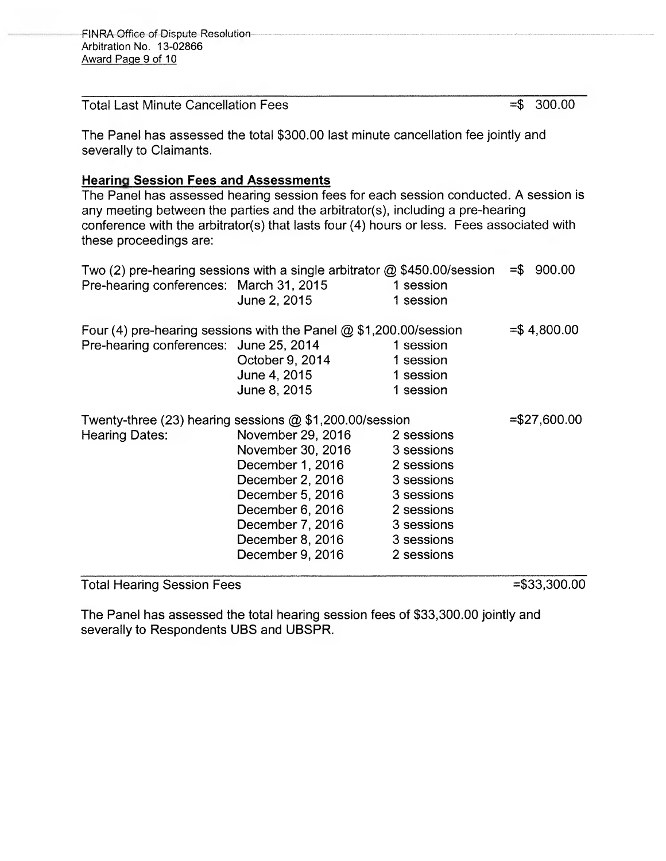Total Last Minute Cancellation Fees  $=$  \$ 300.00

The Panel has assessed the total \$300.00 last minute cancellation fee jointly and severally to Claimants.

# **Hearing Session Fees and Assessments**

The Panel has assessed hearing session fees for each session conducted. A session is any meeting between the parties and the arbitrator(s), including a pre-hearing conference with the arbitrator(s) that lasts four (4) hours or less. Fees associated with these proceedings are:

|                                         | Two (2) pre-hearing sessions with a single arbitrator $@$ \$450.00/session |            | $= $ 900.00$   |
|-----------------------------------------|----------------------------------------------------------------------------|------------|----------------|
| Pre-hearing conferences: March 31, 2015 |                                                                            | 1 session  |                |
|                                         | June 2, 2015                                                               | 1 session  |                |
|                                         | Four (4) pre-hearing sessions with the Panel $@$ \$1,200.00/session        |            | $= $4,800.00$  |
| Pre-hearing conferences: June 25, 2014  |                                                                            | 1 session  |                |
|                                         | October 9, 2014                                                            | 1 session  |                |
|                                         | June 4, 2015                                                               | 1 session  |                |
|                                         | June 8, 2015                                                               | 1 session  |                |
|                                         | Twenty-three (23) hearing sessions $@$ \$1,200.00/session                  |            | $= $27,600.00$ |
| <b>Hearing Dates:</b>                   | November 29, 2016                                                          | 2 sessions |                |
|                                         | November 30, 2016                                                          | 3 sessions |                |
|                                         | December 1, 2016                                                           | 2 sessions |                |
|                                         | December 2, 2016                                                           | 3 sessions |                |
|                                         | December 5, 2016                                                           | 3 sessions |                |
|                                         | December 6, 2016                                                           | 2 sessions |                |
|                                         | December 7, 2016                                                           | 3 sessions |                |
|                                         | December 8, 2016                                                           | 3 sessions |                |
|                                         | December 9, 2016                                                           | 2 sessions |                |
|                                         |                                                                            |            |                |

Total Hearing Session Fees =  $\frac{1}{3}$  =\$33,300.00

The Panel has assessed the total hearing session fees of \$33,300.00 jointly and severally to Respondents UBS and UBSPR.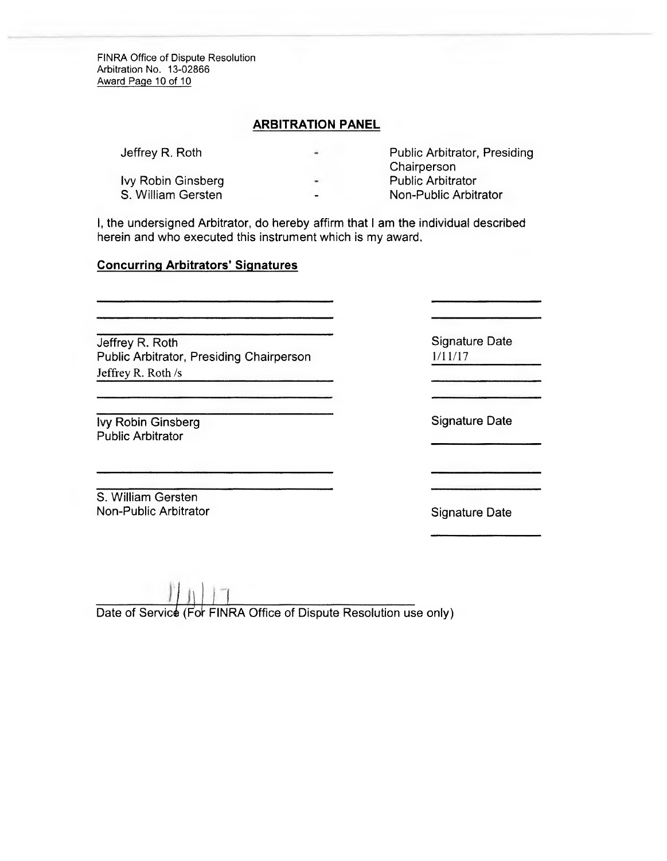FINRA Office of Dispute Resolution Arbitration No. 13-02866 Award Page 10 of 10

### **ARBITRATION PANEL**

| Jeffrey R. Roth           | $\blacksquare$ | <b>Public Arbitrator, Presiding</b><br>Chairperson |
|---------------------------|----------------|----------------------------------------------------|
| <b>Ivy Robin Ginsberg</b> | $\blacksquare$ | <b>Public Arbitrator</b>                           |
| S. William Gersten        | $\blacksquare$ | Non-Public Arbitrator                              |

1, the undersigned Arbitrator, do hereby affirm that I am the individual described herein and who executed this instrument which is my award.

### **Concurring Arbitrators' Signatures**

Jeffrey R. Roth Public Arbitrator, Presiding Chairperson Jeffrey R. Roth /s

**Ivy Robin Ginsberg Community Community Community Community Community Community Community Community Community Community Community Community Community Community Community Community Community Community Community Community Co** Public Arbitrator

S. William Gersten Non-Public Arbitrator Non-Public Arbitrator Non-Public Arbitrator

Signature Date 1/11/17

)

Date of Service (For FINRA Office of Dispute Resolution use only)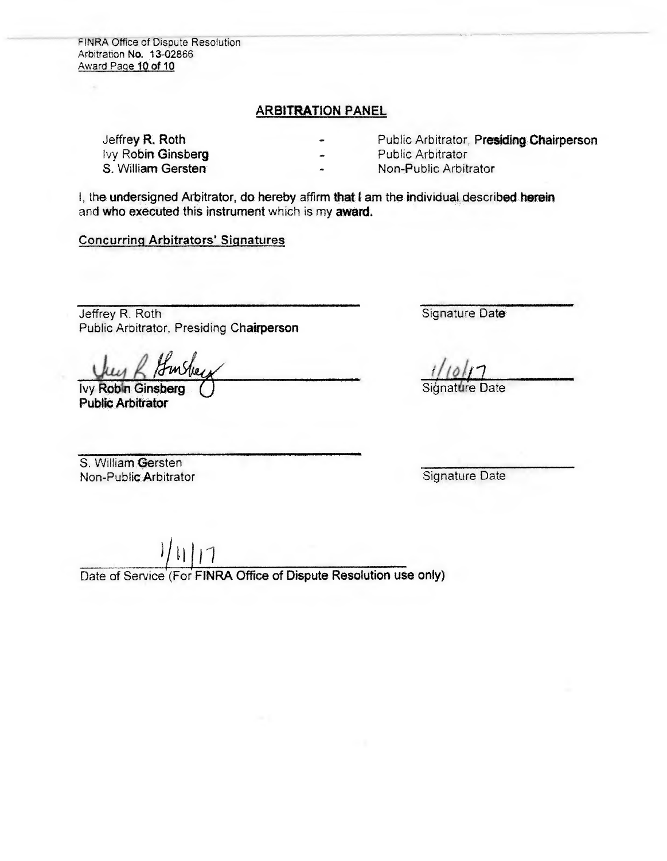FINRA Office of Dispute Resolution Arbitration No. 13-02866 Award Paae 10 of 10

### ARBITRATION PANEL

lvy Robin Ginsberg<br>S. William Gersten

Jeffre**y R. Roth <b>Public Arbitrator**, Presiding Chairperson **Public Arbitrator**, Presiding Chairperson

Non-Public Arbitrator

I, the undersigned Arbitrator, do hereby affirm that I am the individual described herein and who executed this instrument which is my **award.** 

### **Concurring Arbitrators' Signatures**

Jeffrey R. Roth Public Arbitrator, Presiding **Chairperson** 

Ivy Robin Ginsberg **Public Arbitrator** 

Signature Date

/

e Date

S. William Gersten Non-Public Arbitrator

Signature Date

Date of Service (For **FINRA Office of Dispute Resolution use only)**